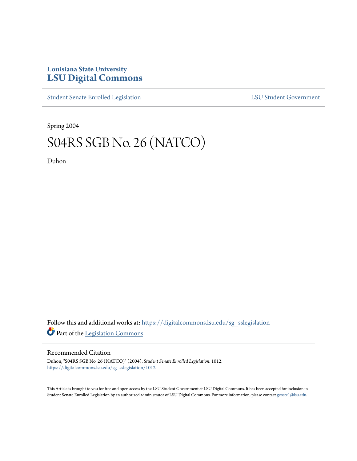## **Louisiana State University [LSU Digital Commons](https://digitalcommons.lsu.edu?utm_source=digitalcommons.lsu.edu%2Fsg_sslegislation%2F1012&utm_medium=PDF&utm_campaign=PDFCoverPages)**

[Student Senate Enrolled Legislation](https://digitalcommons.lsu.edu/sg_sslegislation?utm_source=digitalcommons.lsu.edu%2Fsg_sslegislation%2F1012&utm_medium=PDF&utm_campaign=PDFCoverPages) [LSU Student Government](https://digitalcommons.lsu.edu/sg?utm_source=digitalcommons.lsu.edu%2Fsg_sslegislation%2F1012&utm_medium=PDF&utm_campaign=PDFCoverPages)

Spring 2004

## S04RS SGB No. 26 (NATCO)

Duhon

Follow this and additional works at: [https://digitalcommons.lsu.edu/sg\\_sslegislation](https://digitalcommons.lsu.edu/sg_sslegislation?utm_source=digitalcommons.lsu.edu%2Fsg_sslegislation%2F1012&utm_medium=PDF&utm_campaign=PDFCoverPages) Part of the [Legislation Commons](http://network.bepress.com/hgg/discipline/859?utm_source=digitalcommons.lsu.edu%2Fsg_sslegislation%2F1012&utm_medium=PDF&utm_campaign=PDFCoverPages)

## Recommended Citation

Duhon, "S04RS SGB No. 26 (NATCO)" (2004). *Student Senate Enrolled Legislation*. 1012. [https://digitalcommons.lsu.edu/sg\\_sslegislation/1012](https://digitalcommons.lsu.edu/sg_sslegislation/1012?utm_source=digitalcommons.lsu.edu%2Fsg_sslegislation%2F1012&utm_medium=PDF&utm_campaign=PDFCoverPages)

This Article is brought to you for free and open access by the LSU Student Government at LSU Digital Commons. It has been accepted for inclusion in Student Senate Enrolled Legislation by an authorized administrator of LSU Digital Commons. For more information, please contact [gcoste1@lsu.edu.](mailto:gcoste1@lsu.edu)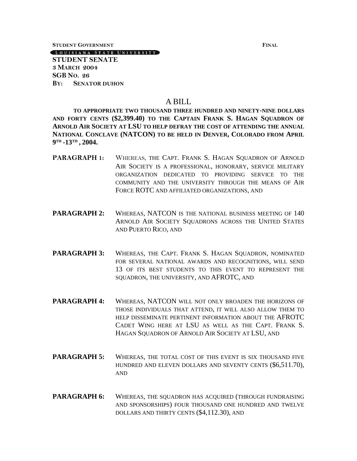**STUDENT GOVERNMENT FINAL**

[LOUISIANA STATE UNIVERSITY]

**STUDENT SENATE 3 MARCH 2004 SGB NO. 26 BY: SENATOR DUHON**

## A BILL

**TO APPROPRIATE TWO THOUSAND THREE HUNDRED AND NINETY-NINE DOLLARS AND FORTY CENTS (\$2,399.40) TO THE CAPTAIN FRANK S. HAGAN SQUADRON OF ARNOLD AIR SOCIETY AT LSU TO HELP DEFRAY THE COST OF ATTENDING THE ANNUAL NATIONAL CONCLAVE (NATCON) TO BE HELD IN DENVER, COLORADO FROM APRIL 9 TH -13TH , 2004.** 

- **PARAGRAPH 1:** WHEREAS, THE CAPT. FRANK S. HAGAN SQUADRON OF ARNOLD AIR SOCIETY IS A PROFESSIONAL, HONORARY, SERVICE MILITARY ORGANIZATION DEDICATED TO PROVIDING SERVICE TO THE COMMUNITY AND THE UNIVERSITY THROUGH THE MEANS OF AIR FORCE ROTC AND AFFILIATED ORGANIZATIONS, AND
- **PARAGRAPH 2:** WHEREAS, NATCON IS THE NATIONAL BUSINESS MEETING OF 140 ARNOLD AIR SOCIETY SOUADRONS ACROSS THE UNITED STATES AND PUERTO RICO, AND
- PARAGRAPH 3: WHEREAS, THE CAPT. FRANK S. HAGAN SOUADRON, NOMINATED FOR SEVERAL NATIONAL AWARDS AND RECOGNITIONS, WILL SEND 13 OF ITS BEST STUDENTS TO THIS EVENT TO REPRESENT THE SQUADRON, THE UNIVERSITY, AND AFROTC, AND
- **PARAGRAPH 4:** WHEREAS, NATCON WILL NOT ONLY BROADEN THE HORIZONS OF THOSE INDIVIDUALS THAT ATTEND, IT WILL ALSO ALLOW THEM TO HELP DISSEMINATE PERTINENT INFORMATION ABOUT THE AFROTC CADET WING HERE AT LSU AS WELL AS THE CAPT. FRANK S. HAGAN SQUADRON OF ARNOLD AIR SOCIETY AT LSU, AND
- **PARAGRAPH 5:** WHEREAS, THE TOTAL COST OF THIS EVENT IS SIX THOUSAND FIVE HUNDRED AND ELEVEN DOLLARS AND SEVENTY CENTS (\$6,511.70), AND
- PARAGRAPH 6: WHEREAS, THE SQUADRON HAS ACQUIRED (THROUGH FUNDRAISING AND SPONSORSHIPS) FOUR THOUSAND ONE HUNDRED AND TWELVE DOLLARS AND THIRTY CENTS (\$4,112.30), AND